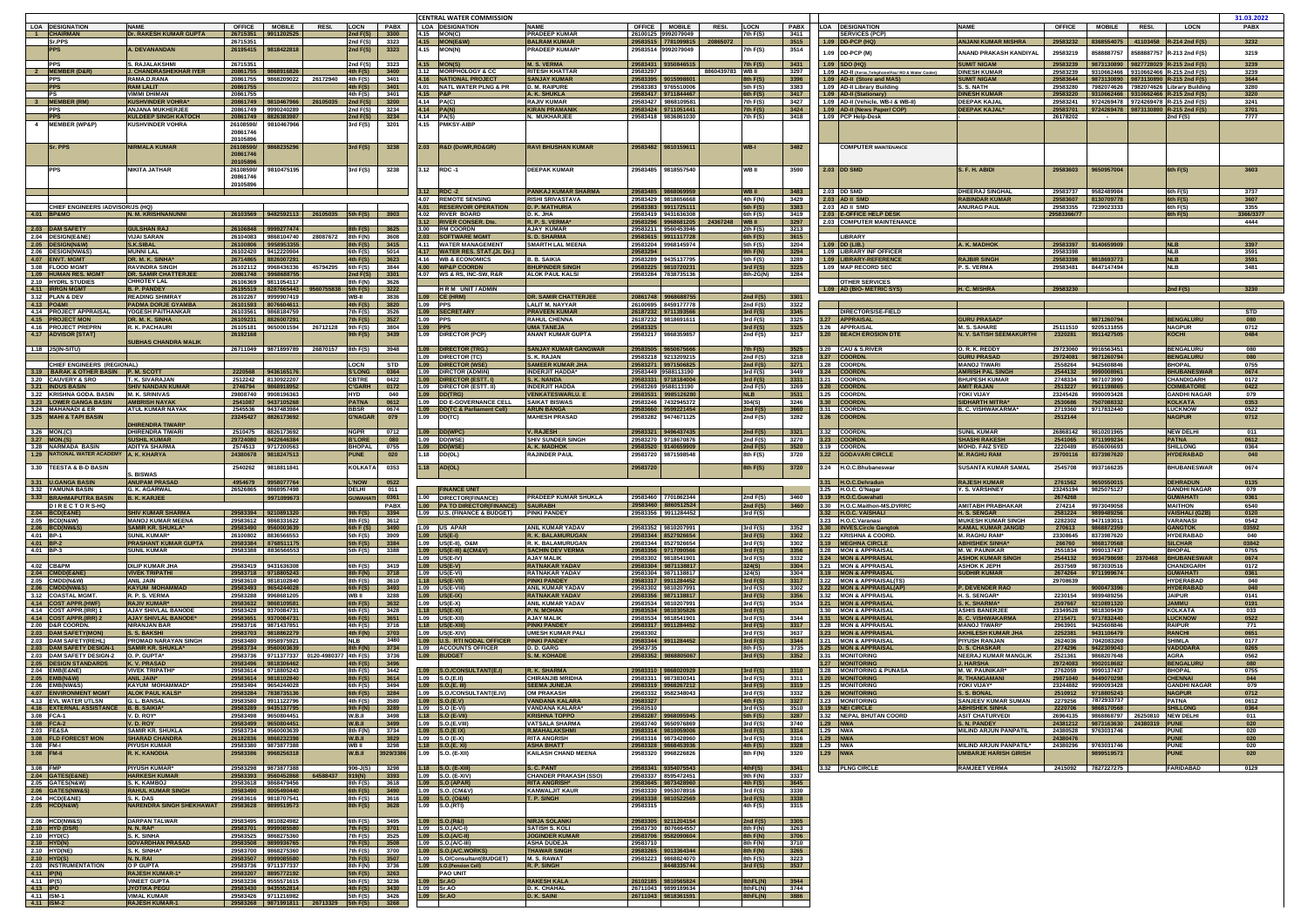|                          |                                                 |                                                        |                           |                                                |                                |                                                             | <b>ICENTRAL WATER COMMISSION</b>                               |                                                       |                                            |                                                 |                          |                        |                                                                       |                                                   |                                                  |                                                                  | 31.03.2022   |
|--------------------------|-------------------------------------------------|--------------------------------------------------------|---------------------------|------------------------------------------------|--------------------------------|-------------------------------------------------------------|----------------------------------------------------------------|-------------------------------------------------------|--------------------------------------------|-------------------------------------------------|--------------------------|------------------------|-----------------------------------------------------------------------|---------------------------------------------------|--------------------------------------------------|------------------------------------------------------------------|--------------|
|                          | <b>LOA DESIGNATION</b><br>1 CHAIRMAN            | <b>NAME</b><br>Dr. RAKESH KUMAR GUPTA                  | <b>OFFICE</b><br>26715351 | <b>MOBILE</b><br><b>RESI.</b><br>9911202525    | LOCN PABX<br>2nd F(S)          | 3300                                                        | <b>LOA DESIGNATION</b><br>4.15 MON(C)                          | <b>NAME</b><br><b>PRADEEP KUMAR</b>                   |                                            | OFFICE   MOBILE<br>RESI.<br>26100125 9992079049 | <b>LOCN</b><br>7th F(S)  | <b>PABX</b><br>3411    | <b>LOA DESIGNATION</b><br><b>SERVICES (PCP)</b>                       | <b>NAME</b>                                       | <b>OFFICE</b>                                    | MOBILE RESI.<br><b>LOCN</b>                                      | <b>PABX</b>  |
|                          | Sr.PPS                                          |                                                        | 26715351                  |                                                | 2nd F(S)                       | 3323                                                        | 4.15   MON(E&W)                                                | <b>BALRAM KUMAR</b>                                   |                                            | 20865072<br>29583515 7781099815                 |                          | 3515                   | 1.09   DD-PCP (HQ)                                                    | ANJANI KUMAR MISHRA                               | 8368554075<br>29583232                           | 41103458 $R-214$ 2nd $F(S)$                                      | 3232         |
|                          |                                                 | A. DEVANANDAN                                          | 26195415                  | 9818422818                                     | 2nd $F(S)$                     | 3323                                                        | 4.15<br><b>MON(N)</b>                                          | <b>PRADEEP KUMAR</b>                                  |                                            | 29583514 9992079049                             | 7th F(S)                 | 3514                   | 1.09 DD-PCP (M)                                                       | ANAND PRAKASH KANDIYAL                            | 29583219<br>8588887757                           | 8588887757<br>R-213 2nd F(S)                                     | 3219         |
|                          |                                                 |                                                        |                           |                                                |                                |                                                             |                                                                |                                                       |                                            |                                                 |                          |                        |                                                                       |                                                   |                                                  |                                                                  |              |
|                          | <b>PPS</b><br>2 MEMBER (D&R)                    | S. RAJALAKSHM<br><b>J. CHANDRASHEKHAR IYER</b>         | 26715351<br>20861755      | 9868916826                                     | 2nd F(S)<br>$4th$ F(S)         | 3323<br>3400                                                | $.15$ MON(S)<br>3.12 MORPHOLOGY & CC                           | <b>M. S. VERMA</b><br><b>RITESH KHATTAR</b>           | 29583297                                   | 29583431 9350846515<br>8860439783 WB II         | 7th F(S)                 | 3431<br>3297           | 1.09 SDO (HQ)<br>1.09 AD-II (Xerox, Telephone/Fax/ RO & Water Cooler) | <b>SUMIT NIGAM</b><br><b>DINESH KUMAF</b>         | 29583239<br>9873130890<br>29583239<br>9310662466 | 9827728029<br><b>R-215 2nd F(S)</b><br>9310662466 R-215 2nd F(S) | 3239<br>3239 |
|                          | <b>PPS</b>                                      | RAMA.D.RANA                                            | 20861755                  | 9868209022 26172940 4th F(S)                   |                                | 3401                                                        | 1.16 NATIONAL PROJECT                                          | <b>SANJAY KUMAR</b>                                   | 29583395 9015998801                        |                                                 | <b>Bth F(S)</b>          | 3396                   | 1.09 AD-II (Store and MAS)                                            | <b>SUMIT NIGAM</b>                                | 29583644<br>9873130890                           | 9873130890<br>R-215 2nd F(S)                                     | 3644         |
|                          |                                                 | <b>RAM LALIT</b>                                       | 20861755                  |                                                | 4th F(S) 3401                  |                                                             | 4.01 NATL WATER PLNG & PR                                      | <b>D. M. RAIPURE</b>                                  |                                            | 29583383 9765510006                             | 5th F(S)                 | 3383                   | 1.09 AD-II Library Building                                           | S. S. NATH                                        | 29583280<br>7982074626                           | 7982074626<br>ibrary Building.                                   | 3280         |
|                          | PS                                              | <b>VIMMI DHIMAN</b>                                    | 20861755                  |                                                | 4th F(S)                       | 3401                                                        | 1.15 P&P                                                       | A. K. SHUKLA                                          |                                            | 29583417 9711844467                             | 6th F(S)                 | 3417                   | 1.09 AD-II (Stationary                                                | <b>DINESH KUMAF</b>                               | 9310662466<br>29583220                           | 9310662466<br>R-215 2nd F(S)                                     | 3220         |
|                          | 3  MEMBER (RM)                                  | <b>KUSHVINDER VOHRA</b>                                | 20861749                  | 9810467966 26105035                            | 2nd F(S)                       | 3200                                                        | 4.14 PA(C)                                                     | <b>RAJIV KUMAR</b>                                    | 29583427 9868109581                        |                                                 | 7th F(S)                 | 3427                   | 1.09 AD-II (Vehicle, WB-I & WB-II)                                    | <b>DEEPAK KAJAL</b>                               | 29583241<br>9724269478                           | 9724269478 R-215 2nd F(S)                                        | 3241         |
|                          | <b>PPS</b><br><b>PPS</b>                        | <b>ANJANA MUKHERJEE</b><br><b>KULDEEP SINGH KATOCH</b> | 20861749<br>20861749      | 9990240289<br>8826383987                       | 2nd F(S)<br>2nd F(S)           | 3234<br>3234                                                | $1.14$ PA(N)<br>4.14 PA(S)                                     | <b>KIRAN PRAMANI</b><br>N. MUKHARJEE                  | 29583424 9711051441                        | 29583418 9836861030                             | 7th F(S)<br>7th F(S)     | 3424<br>3418           | 1.09 AD-II (News Paper/ COP)<br>1.09 PCP Help-Desk                    | <b>DEEPAK KAJAL</b>                               | 9724269478<br>29583701<br>26178202<br>$\sim 100$ | 9873130890 R-215 2nd F(S)<br>2nd F(S)                            | 3701<br>7777 |
|                          | <b>MEMBER (WP&amp;P)</b>                        | <b>KUSHVINDER VOHRA</b>                                | 26108590/                 | 9810467966                                     | 3rd F(S)                       | 3201                                                        | 4.15 PMKSY-AIBP                                                |                                                       |                                            |                                                 |                          |                        |                                                                       |                                                   |                                                  |                                                                  |              |
|                          |                                                 |                                                        | 20861746                  |                                                |                                |                                                             |                                                                |                                                       |                                            |                                                 |                          |                        |                                                                       |                                                   |                                                  |                                                                  |              |
|                          |                                                 |                                                        | 20105896                  |                                                |                                |                                                             |                                                                |                                                       |                                            |                                                 |                          |                        |                                                                       |                                                   |                                                  |                                                                  |              |
|                          | <b>Sr. PPS</b>                                  | <b>NIRMALA KUMAR</b>                                   | 26108590/<br>20861746     | 9868235296                                     | 3rd F(S)                       | 3238                                                        | 2.03<br><b>R&amp;D (DoWR,RD&amp;GR)</b>                        | <b>RAVI BHUSHAN KUMAR</b>                             |                                            | 29583482 9810159611                             | WB-I                     | 3482                   | <b>COMPUTER MAINTENANCE</b>                                           |                                                   |                                                  |                                                                  |              |
|                          |                                                 |                                                        | 20105896                  |                                                |                                |                                                             |                                                                |                                                       |                                            |                                                 |                          |                        |                                                                       |                                                   |                                                  |                                                                  |              |
|                          |                                                 | NIKITA JATHAR                                          | 26108590/                 | 9810475195                                     | 3rd F(S)                       | 3238                                                        | 3.12 RDC-1                                                     | <b>DEEPAK KUMAF</b>                                   |                                            | 29583485 9818557540                             | WB II                    | 3590                   | 2.03 DD SMD                                                           | S. F. H. ABIDI                                    | 29583603<br>9650957004                           | 6th F(S)                                                         | 3603         |
|                          |                                                 |                                                        | 20861746                  |                                                |                                |                                                             |                                                                |                                                       |                                            |                                                 |                          |                        |                                                                       |                                                   |                                                  |                                                                  |              |
|                          |                                                 |                                                        | 20105896                  |                                                |                                |                                                             |                                                                | <b>PANKAJ KUMAR SHARMA</b>                            |                                            |                                                 | <b>WBII</b>              |                        | 2.03 DD SMD                                                           |                                                   | 9582489984                                       |                                                                  | 3737         |
|                          |                                                 |                                                        |                           |                                                |                                |                                                             | 3.12 RDC -2<br>4.07<br><b>REMOTE SENSING</b>                   | RISHI SRIVASTAVA                                      | 29583485                                   | 986806995<br>29583429 9818656668                | 4th F(N)                 | 3483<br>3429           | 2.03 AD II SMD                                                        | <b>DHEERAJ SINGHA</b><br>RABINDAR KUMAF           | 29583737<br>29583607<br>8130709778               | 6th F(S)<br>6th F(S)                                             | 3607         |
|                          | CHIEF ENGINEERS /ADVISOR/JS (HQ)                |                                                        |                           |                                                |                                |                                                             | <b>RESERVOIR OPERATION</b>                                     | <b>D. P. MATHURL</b>                                  | 29583383 991172511                         |                                                 | 5th F(S)                 | 3383                   | 2.03 AD II SMD                                                        | <b>ANURAG PAUL</b>                                | 29583355<br>7239023333                           | 6th F(S)                                                         | 3355         |
|                          | 4.01 BP&MO                                      | N. M. KRISHNANUNNI                                     | 26103569                  | 9482592113<br>26105035 5th F(S)                |                                | 3903                                                        | 4.02<br><b>RIVER BOARD</b>                                     | D. K. JHA                                             | 29583419 9431636308                        |                                                 | 6th F(S)                 | 3419                   | 2.03 E-OFFICE HELP DESK                                               |                                                   | 29583366/77                                      | 6th F(S)                                                         | 3366/3377    |
|                          | 2.03 DAM SAFETY                                 | <b>GULSHAN RAJ</b>                                     | 26106848                  | 9999277474                                     | 8th F(S) 3625                  |                                                             | .12 RIVER CONSER. Dte<br>3.00 RM COORDN                        | R. P. S. VERMA'<br><b>AJAY KUMAR</b>                  | 29583296                                   | 24367248<br>968681205<br>29583211 9560453946    | <b>WB</b> II<br>2th F(S) | 3297<br>3213           | 2.03 COMPUTER MAINTENANCE                                             |                                                   |                                                  |                                                                  | 4444         |
|                          | 2.04 DESIGN(E&NE)                               | <b>VIJAI SARAN</b>                                     | 26104083                  | 9868104740 28087672                            | 8th F(N) 3608                  |                                                             | <b>SOFTWARE MGMT</b><br>$2.03 -$                               | <b>S. D. SHARMA</b>                                   | 29583615                                   | 9911117728                                      | 6th F(S)                 | 3615                   | LIBRARY                                                               |                                                   |                                                  |                                                                  |              |
|                          | 2.05 DESIGN(N&W)                                | <b>S.K.SIBAL</b>                                       | 26100806                  | 9958953355                                     | 8th F(S) 3415                  |                                                             | 4.11 WATER MANAGEMENT                                          | <b>SMARTH LAL MEENA</b>                               | 29583204                                   | 9968145974                                      | 5th F(S)                 | 3204                   | 1.09   DD (LIB.)                                                      | A. K. MADHOK                                      | 9140659909<br>29583397                           | INI R                                                            | 3397         |
|                          | 2.06 DESIGN(NW&S)                               | <b>MUNNI LAL</b>                                       | 26102420                  | 9412220904                                     | 6th F(S)                       | 5014                                                        | 4.17 WATER RES. STAT.(Jt. Dir.)                                |                                                       | 29583294                                   |                                                 | 9th F(N)                 | 3294                   | 1.09 LIBRARY INF OFFICER                                              |                                                   | 29583398                                         | <b>NLB</b>                                                       | 3591         |
|                          | 4.07 ENVT. MGMT<br>3.08 FLOOD MGMT              | DR. M. K. SINHA<br><b>RAVINDRA SINGH</b>               | 26714865<br>26102112      | 8826007291<br>9968436336<br>45794295 6th F(S)  | $4th$ F(S)                     | 3623<br>3844                                                | 4.16 WB & ECONOMICS<br>4.00 WP&P COORDN                        | <b>B. B. SAIKIA</b><br><b>BHUPINDER SING</b>          | 29583289 9435137795<br>29583225            | 981072023                                       | 5th F(S)<br>3rd F(S)     | 3289<br>3225           | 1.09  LIBRARY-REFERENCI<br>1.09 MAP RECORD SEC                        | <b>RAJBIR SINGI</b><br>P. S. VERMA                | 29583398<br>9818693773<br>29583481<br>8447147494 | <b>NLB</b><br><b>NLB</b>                                         | 3591<br>3481 |
|                          | 1.09 HUMAN RES. MGMT                            | <b>DR. SAMIR CHATTERJEE</b>                            | 20861748                  | 9968688755                                     | 2nd $F(S)$ 3301                |                                                             | 4.07 WS & RS, INC-SW, R&R                                      | <b>ALOK PAUL KALSI</b>                                | 29583284 7838735136                        |                                                 | 8th-2G(N)                | 3284                   |                                                                       |                                                   |                                                  |                                                                  |              |
|                          | 2.10 HYDRL STUDIES                              | <b>CHHOTEY LAL</b>                                     | 26106369                  | 9811054117                                     | 8th F(N)                       | 3626                                                        |                                                                |                                                       |                                            |                                                 |                          |                        | <b>OTHER SERVICES</b>                                                 |                                                   |                                                  |                                                                  |              |
|                          | 4.11 <b>IRRGN MGM</b>                           | <b>B. P. PANDEY</b>                                    | 26195519                  | 8287665443 9560755838 5th F(S)                 |                                | 3222                                                        | <b>HRM UNIT/ADMIN</b>                                          |                                                       |                                            |                                                 |                          |                        | 1.09 AD (BIO- METRIC SYS                                              | H. C. MISHRA                                      | 29583230                                         | 2nd F(S)                                                         | 3230         |
| 4.13 PO&M                | 3.12 PLAN & DEV                                 | <b>READING SHIMRAY</b><br><b>PADMA DORJE GYAMBA</b>    | 26102267<br>26101593      | 9999907419<br>8076604611                       | WB-II<br>4th F(S)              | 3836<br>3820                                                | 1.09 CE (HRM)<br>1.09 PPS                                      | <b>DR. SAMIR CHATTERJEE</b><br><b>LALIT M. NAYYAR</b> | 20861748 996868875                         | 26100695 8459177778                             | 2nd $F(S)$<br>2nd F(S)   | 3301<br>3322           |                                                                       |                                                   |                                                  |                                                                  |              |
|                          | 4.14 PROJECT APPRAISAL                          | YOGESH PAITHANKAR                                      | 26103561                  | 9868184759                                     | 7th F(S)                       | 3526                                                        | 1.09 SECRETARY                                                 | <b>PRAVEEN KUMAR</b>                                  | 26187232 9711393566                        |                                                 | 3rd F(S)                 | 3345                   | <b>DIRECTORS/SE-FIELD</b>                                             |                                                   |                                                  |                                                                  | <b>STD</b>   |
|                          | 4.15 <b>PROJECT MON</b>                         | DR. M. K. SINHA                                        | 26109231                  | 8826007291                                     | 7th F(S)                       | 3527                                                        | 1.09 PPS                                                       | <b>RAHUL CHENNA</b>                                   | 26187232 9818691611                        |                                                 | 3rd F(S)                 | 3325                   | 3.27 APPRAISAL                                                        | <b>GURU PRASAD</b>                                | 9871260794                                       | <b>BENGALURL</b>                                                 | 080          |
|                          | 4.16 PROJECT PREPRN                             | R. K. PACHAURI                                         | 26105181                  | 9650001594 26712128 9th F(S)                   |                                | 3804                                                        | 1.09   PPS                                                     | <b>UMA TANEJA</b>                                     | 29583325                                   |                                                 | 3rd F(S)                 | 3325                   | 3.26 APPRAISAL                                                        | <b>M. S. SAHARE</b>                               | 25111510<br>9205131855                           | <b>NAGPUR</b>                                                    | 0712         |
|                          | 4.17 ADVISOR [STAT]                             |                                                        | 26192168                  |                                                | 9th F(S)                       | 3439                                                        | 1.09   DIRECTOR (PCP)                                          | ANANT KUMAR GUPTA                                     | 29583217                                   | 9868359857                                      | 2nd F(S)                 | 3217                   | 3.20 BEACH EROSION DTE                                                | <b>N. V. SATISH SEEMAKURTHI</b>                   | 2320281<br>9911427505                            | <b>KOCHI</b>                                                     | 0484         |
|                          | 1.18 JS(IN-SITU)                                | <b>SUBHAS CHANDRA MALIK</b>                            | 26711049                  | 9871899789<br>26870157 8th F(S)                |                                | 3948                                                        | 1.09<br><b>DIRECTOR (TRG.)</b>                                 | <b>SANJAY KUMAR GANGWAR</b>                           | 29583505                                   | 965067566                                       | 7th F(S)                 | 3525                   | 3.20 CAU & S.RIVER                                                    | O. R. K. REDDY                                    | 9916563451<br>29723060                           | <b>BENGALURU</b>                                                 | 080          |
|                          |                                                 |                                                        |                           |                                                |                                |                                                             | 1.09   DIRECTOR (TC)                                           | S. K. RAJAN                                           |                                            | 29583218 9213209215                             | 2nd F(S)                 | 3218                   | 3.27 COORDN                                                           | <b>GURU PRASAD</b>                                | 29724081<br>9871260794                           | <b>BENGALURU</b>                                                 | 080          |
|                          | CHIEF ENGINEERS (REGIONAL)                      |                                                        |                           |                                                | LOCN                           | STD                                                         | 1.09   DIRECTOR (WSE)                                          | <b>SAMEER KUMAR JHA</b>                               |                                            | 29583271 9971506825                             | 2nd F(S)                 | 3271                   | 3.28 COORDN                                                           | <b>MANOJ TIWARI</b>                               | 9425608846<br>2558264                            | <b>BHOPAL</b>                                                    | 0755         |
|                          | 3.19 BARAK & OTHER BASIN                        | P. M. SCOTT                                            | 2220568                   | 9436165176                                     | <b>S'LONG</b>                  | 0364                                                        | 1.09   DIRCTOR (ADMIN)                                         | <b>INDERJIT HADDA</b>                                 | 29583449 9588113190                        |                                                 | 3rd F(S)                 | 3449                   | 3.24 COORDN                                                           | <b>AMRISH PAL SING</b>                            | 2544132<br>9990008961                            | <b>BHUBANESWAR</b>                                               | 0674         |
|                          | 3.20 CAUVERY & SRO<br>3.21  INDUS BASIN         | T. K. SIVARAJAN<br>SHIV NANDAN KUMAR                   | 2512242<br>2746794        | 8130922207<br>9868918952                       | <b>CBTRE</b><br>C'GARH I       | 0422<br>0172                                                | 1.09   DIRECTOR (ESTT. I<br>1.09   DIRECTOR (ESTT. II)         | S. K. NANDA<br><b>INDERJIT HADDA</b>                  | 29583331 9718184004                        | 29583269 9588113190                             | 3rd F(S)<br>2nd F(S)     | 3331<br>3269           | 3.21 COORDN<br>.20 COORDN                                             | <b>BHUPESH KUMAR</b><br><b>AMIT RAJAN</b>         | 2748334<br>9871073990<br>2513227<br>9911198865   | <b>CHANDIGARH</b><br><b>COIMBATORE</b>                           | 0172<br>0422 |
|                          | 3.22 KRISHNA GODA. BASIN                        | <b>M. K. SRINIVAS</b>                                  | 29808740                  | 9908196363                                     | HYD                            | 040                                                         | 1.09   DD(TRG)                                                 | <b>VENKATESWARLU</b>                                  | 29583531 9985126280                        |                                                 | NLB                      | 3531                   | 3.25   COORDN                                                         | YOKI VIJAY                                        | 23245426<br>9990093428                           | <b>GANDHI NAGAR</b>                                              | 079          |
|                          | 3.23 LOWER GANGA BASIN                          | <b>AMBRISH NAYAR</b>                                   | 2541087                   | 9437105268                                     | <b>PATNA</b>                   | 0612                                                        | 1.09 DD E-GOVERNANCE CELL                                      | <b>SAIKAT BISWAS</b>                                  | 29583246 7432945372                        |                                                 | 304(S)                   | 3246                   | 30 COORDN                                                             | <b>SIDHARTH MITRA</b>                             | 2530686<br>7507088332                            | <b>KOLKATA</b>                                                   | 0353         |
|                          | 3.24 MAHANADI & ER                              | <b>ATUL KUMAR NAYAK</b>                                | 2545536                   | 9437483984                                     | <b>BBSR</b>                    | 0674                                                        | 1.09   DD(TC & Parliament Cell)                                | <b>ARUN BANGA</b>                                     | 29583660                                   | 599221454                                       | 2nd $F(S)$               | 3660                   | 3.31 COORDN                                                           | <b>B. C. VISHWAKARMA</b>                          | 2719360<br>9717832440                            | <b>LUCKNOW</b>                                                   | 0522         |
|                          | 3.25 MAHI & TAPI BASIN                          | <b>DHIRENDRA TIWARI</b>                                | 23245427                  | 8826173692                                     | <b>G'NAGAR</b>                 | 079                                                         | DD(TC)<br>1.09                                                 | <b>MAHESH PRASAD</b>                                  | 29583282                                   | 9474671125                                      | 2nd $F(S)$               | 3282                   | 3.26 COORDN                                                           |                                                   | 2512144                                          | <b>NAGPUR</b>                                                    | 0712         |
|                          | 3.26 MON.(C)                                    | <b>DHIRENDRA TIWARI</b>                                | 2510475                   | 8826173692                                     | <b>NGPR</b>                    | 0712                                                        | 1.09   DD(WPC                                                  | <b>V. RAJESH</b>                                      | 29583321 9496437435                        |                                                 | 2nd $F(S)$               | 3321                   | 3.32 COORDN                                                           | <b>SUNIL KUMAR</b>                                | 26868142<br>9810201965                           | <b>NEW DELHI</b>                                                 | 011          |
|                          | 3.27   MON.(S)                                  | SUSHIL KUMAF                                           | 29724080                  | 9422646384                                     | <b>B'LORE</b>                  | 080                                                         | 1.09 DD(WSE                                                    | SHIV SUNDER SINGH                                     |                                            | 29583270 9718670876                             | 2nd F(S)                 | 3270                   | 23 COORDN                                                             | <b>SHASHI RAKESH</b>                              | 2541065<br>9711999234                            | <b>PATNA</b>                                                     | 0612         |
|                          | 3.28 NARMADA BASIN                              | <b>ADITYA SHARMA</b>                                   |                           | 2574513 9717200563                             | <b>BHOPAL</b>                  | 0755                                                        | 1.09   DD(WSE                                                  | A. K. MADHOK                                          | 29583520 9140659909                        |                                                 | 2nd F(S)                 | 3520                   | 3.19 COORDN                                                           | <b>MOHD. FAIZ SYED</b>                            | 2220489<br>8506006693                            | <b>SHILLONG</b>                                                  | 0364         |
|                          | 1.29 NATIONAL WATER ACADEMY A. K. KHARYA        |                                                        | 24380678                  | 9818247513                                     | <b>PUNE</b>                    | 020                                                         | DD(OL)<br>1.18                                                 | <b>RAJINDER PAUL</b>                                  | 29583720                                   | 9871598548                                      | 8th F(S)                 | 3720                   | 3.22 GODAVARI CIRCLE                                                  | <b>M. RAGHU RAM</b>                               | 29700116<br>8373987620                           | <b>HYDERABAD</b>                                                 | 040          |
|                          | 3.30 TEESTA & B-D BASIN                         |                                                        | 2540262                   | 9818811841                                     | KOLKATA                        | 0353                                                        | AD(OL)<br>1.18                                                 |                                                       | 29583720                                   |                                                 | 8th F(S)                 | 3720                   | 3.24<br>H.O.C.Bhubaneswar                                             | <b>SUSANTA KUMAR SAMAL</b>                        | 2545708<br>9937166235                            | <b>BHUBANESWAR</b>                                               | 0674         |
|                          |                                                 | <b>S. BISWAS</b>                                       |                           |                                                |                                |                                                             |                                                                |                                                       |                                            |                                                 |                          |                        |                                                                       |                                                   |                                                  |                                                                  |              |
|                          | 3.31 U.GANGA BASIN<br>3.32 YAMUNA BASIN         | <b>ANUPAM PRASAD</b>                                   | 4954679                   | 9958077764                                     | <b>NOW</b> :<br>DELHI          | 0522<br>011                                                 | <b>FINANCE UNIT</b>                                            |                                                       |                                            |                                                 |                          |                        | 31 H.O.C.Dehradun<br>3.25 H.O.C. G'Nagar                              | <b>RAJESH KUMAF</b><br>Y. S. VARSHNE\             | 2761562<br>0650550015<br>23245194<br>9825075127  | <b>DEHRADUN</b><br><b>GANDHI NAGAR</b>                           | 0135<br>079  |
|                          |                                                 |                                                        |                           |                                                |                                |                                                             |                                                                |                                                       |                                            |                                                 |                          | 3460                   |                                                                       |                                                   |                                                  |                                                                  |              |
|                          |                                                 | G. K. AGARWAL                                          | 26526865                  | 9868957498                                     |                                |                                                             |                                                                |                                                       |                                            |                                                 |                          |                        |                                                                       |                                                   |                                                  |                                                                  |              |
|                          | 3.33 BRAHMAPUTRA BASIN<br>DIRECTORS-HQ          | <b>B. K. KARJEE</b>                                    |                           | 9971099673                                     | <b>GUWAHATI</b>                | 0361<br><b>PABX</b>                                         | 1.00 DIRECTOR(FINANCE)<br>1.00 PA TO DIRECTOR(FINANCE) SAURABH | <b>PRADEEP KUMAR SHUKLA</b>                           | 29583460 7701862344                        | 29583460 8860512524                             | 2nd $F(S)$<br>2nd F(S)   | 3460                   | 3.19 H.O.C.Guwahati<br>3.30 H.O.C.Maithon-MS,DVRRC                    | <b>AMITABH PRABHAKAR</b>                          | 2674268<br>9973049058<br>274214                  | <b>GUWAHATI</b><br><b>MAITHON</b>                                | 0361<br>6540 |
|                          | 2.04 BCD(E&NE)                                  | <b>SHIV KUMAR SHARMA</b>                               |                           | 29583394 9210891320                            |                                | 9th F(S) 3394                                               | 1.09 U.S. (FINANCE & BUDGET) PINKI PANDEY                      |                                                       |                                            | 29583356 9911284452                             | 3rd $F(S)$               |                        | 3.32 H.O.C. VAISHALI                                                  | <b>H. S. SENGAR</b>                               | 2581224<br>9899489256                            | <b>VAISHALI (GZB)</b>                                            | 0120         |
|                          | 2.05 BCD(N&W                                    | <b>MANOJ KUMAR MEENA</b>                               | 29583612                  | 9868331622                                     | 8th F(S) 3612                  |                                                             |                                                                |                                                       |                                            |                                                 |                          |                        | 3.23 H.O.C.Varanasi                                                   | <b>MUKESH KUMAR SINGH</b>                         | 2282302<br>9471193011                            | <b>VARANASI</b>                                                  | 0542         |
|                          | 2.06 BCD(NW&S                                   | <b>SAMIR KR. SHUKLA*</b><br><b>SUNIL KUMAR*</b>        | 29583490                  | 9560003639                                     | 6th F (S) 3490                 |                                                             | 1.09 US APAR                                                   | <b>ANIL KUMAR YADAV</b><br><b>R. K. BALAMURUGAN</b>   |                                            | 29583352 9810207991                             | 3rd F(S)                 | 3352                   | 3.30 INVES.Circle Gangtol                                             | <b>KAMAL KUMAR JANGID</b><br><b>M. RAGHU RAM*</b> | 270613<br>9868872359                             | <b>GANGTOK</b><br><b>HYDERABAD</b>                               | 03592        |
| 4.01 BP-1<br>$4.01$ BP-2 |                                                 | <b>PRASHANT KUMAR GUPTA</b>                            | 26100802<br>29583384      | 8836566553<br>8768511175                       | 5th F(S) 3909<br>5th F(S)      | 13384                                                       | 1.09 $ US(E-I) $<br>1.09 US(E-II), O&M                         | R. K. BALAMURUGAN                                     | 29583344 8527926654<br>29583344 8527926654 |                                                 | 3rd F(S)<br>3rd F(S)     | 3302<br>3302           | 3.22 KRISHNA & COORD<br>3.19 MEGHNA CIRCLE                            | <b>ABHISHEK SINHA</b>                             | 23308645<br>8373987620<br>266760<br>9868170568   | <b>SILCHAR</b>                                                   | 040<br>03842 |
| 4.01 BP-3                |                                                 | <b>SUNIL KUMAR</b>                                     |                           | 29583388 8836566553                            | 5th F(S)                       | 3388                                                        | 1.09   US(E-III) & (CM&V)                                      | <b>SACHIN DEV VERMA</b>                               | 29583356 9717090566                        |                                                 | 3rd F(S)                 | 3356                   | 3.28 MON & APPRAISAL                                                  | <b>M. W. PAUNIKAR</b>                             | 2551834<br>9990137437                            | <b>BHOPAL</b>                                                    | 0755         |
|                          |                                                 |                                                        |                           |                                                |                                |                                                             | 1.09 US(E-IV)                                                  | <b>AJAY MALIK</b>                                     |                                            | 29583302 9818541901                             | 3rd F(S)                 | 3332                   | 3.24 MON & APPRAISAL                                                  | <b>ASHOK KUMAR SINGH</b>                          | 2544132                                          | 9934798698 2370468<br><b>BHUBANESWAR</b>                         | 0674         |
|                          | 4.02 CB&PM<br>2.04 CMDD(E&NE                    | <b>DILIP KUMAR JHA</b><br><b>VIVEK TRIPATHI</b>        |                           | 29583419 9431636308<br>29583718 9718805243     | 6th F(S)                       | 3419<br>8th F(N) 3718                                       | $1.09$ US(E-V)<br>1.09 US(E-VI)                                | <b>RATNAKAR YADAV</b><br><b>RATNAKAR YADAV</b>        | 29583304 9871138817<br>29583304 9871138817 |                                                 | 324(S)<br>324(S)         | 3304<br>3304           | 3.21 MON & APPRAISAL<br>3.19 MON & APPRAISAL                          | <b>ASHOK K JEPH</b><br><b>SUDHIR KUMAR</b>        | 2637569<br>9873030516<br>2674264<br>9711999674   | <b>CHANDIGARH</b><br><b>GUWAHATI</b>                             | 0172<br>0361 |
|                          | 2.05 CMDD(N&W)                                  | <b>ANIL JAIN</b>                                       | 29583610                  | 9818102840                                     | 8th F(S) 3610                  |                                                             | 1.18 US(E-VII)                                                 | <b>PINKI PANDEY</b>                                   | 29583317 9911284452                        |                                                 | 3rd $F(S)$               | 3317                   | 3.22 MON & APPRAISAL(TS)                                              |                                                   | 29708639                                         | <b>HYDERABAD</b>                                                 | 040          |
|                          | 2.06 CMDD(NW&S)                                 | <b>KAYUM MOHAMMAD</b>                                  | 29583493                  | 9654244028                                     | 6th $F(S)$                     | 3493                                                        | 1.09   US(E-VIII)                                              | <b>ANIL KUMAR YADAV</b>                               | 29583302 9810207991                        |                                                 | 3rd F(S)                 | 3302                   | 3.22 MON & APPRAISAL(AP)                                              | <b>P. DEVENDER RAO</b>                            | 9000473396                                       | <b>HYDERABAD</b>                                                 | 040          |
|                          | 3.12 COASTAL MGMT                               | R. P. S. VERMA                                         | 29583288                  | 9968681205                                     | WB II   3288                   |                                                             | $1.09$ US(E-IX)                                                | <b>RATNAKAR YADAV</b>                                 | 29583356 9871138817                        |                                                 | 3rd F(S)                 | 3356                   | 3.32 MON & APPRAISAL                                                  | H. S. SENGAR*                                     | 2230154<br>9899489256<br>2597667                 | <b>JAIPUR</b><br><b>JAMMU</b>                                    | 0141         |
|                          | $4.14$ COST APPR.(HWF<br>4.14 COST APPR.(IRR) 1 | <b>RAJIV KUMAR*</b><br><b>AJAY SHIVLAL BANODE</b>      | 29583632                  | 9868109581<br>29583428 9370084731              | 6th F(S) 3632                  | 6th F(S) 3428                                               | 1.09 US(E-X)<br>1.18 $ US(E-XI) $                              | <b>ANIL KUMAR YADAV</b><br>P. N. MOHAN                | 29583534 9810207991                        | 29583534 9810305826                             | 3rd F(S)<br>3rd F(S)     | 3534                   | 3.21 MON & APPRAISAL<br>3.30 MON & APPRAISAL                          | S. K. SHARMA*<br><b>ASHIS BANERJEE</b>            | 9210891320<br>23349528<br>9818309439             | <b>KOLKATA</b>                                                   | 0191<br>033  |
|                          | 4.14 COST APPR (IRR) 2                          | <b>AJAY SHIVLAL BANODE*</b>                            | 29583651                  | 9370084731                                     | 6th F(S) 3651                  |                                                             | 1.09 US(E-XII)                                                 | <b>AJAY MALIK</b>                                     |                                            | 29583534 9818541901                             | 3rd F(S)                 | 3344                   | 3.31 MON & APPRAISAL                                                  | <b>B. C. VISHWAKARMA</b>                          | 9717832440<br>2715471                            | <b>LUCKNOW</b>                                                   | 0522         |
|                          | 2.00 D&R COORDN.                                | <b>NIRANJAN BAR</b>                                    |                           | 29583716 9871437851                            | 4th F(S) 3716                  |                                                             | 1.18   US(E-XIII)                                              | <b>PINKI PANDEY</b>                                   | 29583317 9911284452                        |                                                 | 3rd $F(S)$               | 3317                   | 3.28 MON & APPRAISAL                                                  | <b>MANOJ TIWARI*</b>                              | 2963901<br>9425608846                            | <b>RAIPUR</b>                                                    | 771          |
|                          | 2.03 DAM SAFETY(MON)<br>2.03 DAM SAFETY(REHL)   | S. S. BAKSHI<br><b>PROMAD NARAYAN SINGH</b>            | 29583703<br>29583480      | 9818862279<br>9958975921                       | 4th F(N) 3703<br><b>NLB</b>    | 3480                                                        | 1.09   US(E-XIV)<br>1.09   U.S. RTI NODAL OFFICER              | <b>UMESH KUMAR PALI</b><br><b>PINKI PANDEY</b>        | 29583302                                   | 29583344 9911284452                             | 3rd F(S)<br>3rdF(S)      | 3637<br>3344           | 3.23 MON & APPRAISAL<br>3.21 MON & APPRAISAL                          | <b>AKHILESH KUMAR JHA</b><br><b>PIYUSH RANJAN</b> | 2252381<br>9431106479<br>7042083260<br>2624036   | <b>RANCHI</b><br><b>SHIMLA</b>                                   | 0651<br>0177 |
|                          | 2.03 DAM SAFETY DESIGN-1                        | <b>SAMIR KR. SHUKLA*</b>                               | 29583734                  | 9560003639                                     | 8th F(N) 3734                  |                                                             | 1.09 ACCOUNTS OFFICER                                          | D. D. GARG                                            | 29583735                                   |                                                 | 8th F(S)                 | 3735                   | 3.25 MON & APPRAISAL                                                  | <b>ID. S. CHASKAR</b>                             | 2774296<br>9422309043                            | <b>VADODARA</b>                                                  | 0265         |
|                          | 2.03 DAM SAFETY DESIGN-2 O. P. GUPTA*           |                                                        |                           | 29583736 9711377337 0120-4980377 4th F(S) 3736 |                                |                                                             | 1.09 BUDGET                                                    | <b>S. M. KOHADE</b>                                   |                                            | 29583352 9868805067                             | 3rd F(S)                 | $ 3352\rangle$         | 3.31 MONITORING                                                       | <b>NEERAJ KUMAR MANGLIK</b>                       | 2521361<br>9868207648                            | <b>AGRA</b>                                                      | 0562         |
|                          | 2.05 DESIGN STANDARDS                           | K.V. PRASAD                                            |                           | 29583496 9818306462                            | 4th F(S) 3496                  |                                                             |                                                                |                                                       |                                            |                                                 |                          |                        | 27 MONITORING                                                         | <b>J. HARSHA</b>                                  | 29724083<br>9902018682                           | <b>BENGALURU</b>                                                 | 080          |
|                          | 2.04 EMB(E&NE)<br>2.05 EMB(N&W)                 | <b>VIVEK TRIPATHI*</b><br><b>ANIL JAIN*</b>            | 29583614                  | 29583614 9718805243<br>9818102840              | 8th F(S)                       | 8th F(S) 3442<br>3614                                       | 1.09   S.O./CONSULTANT(E.I)<br>1.09 $ S.O.(E.II) $             | R. K. SHARMA<br><b>CHIRANJIB MRIDHA</b>               | 29583310 9868020929<br>29583311 9873830341 |                                                 | 3rd F(S)<br>3rd F(S)     | $ 3310\rangle$<br>3311 | 3.28 MONITORING & PUNASA<br>3.20 MONITORING                           | M. W. PAUNIKAR*<br><b>R. THANGAMAN</b>            | 2762059<br>9990137437<br>29871040<br>9449070298  | <b>BHOPAL</b><br><b>CHENNA</b>                                   | 0755<br>044  |
|                          | 2.06 EMB(NW&S)                                  | KAYUM MOHAMMAD*                                        | 29583494                  | 9654244028                                     | 6th F(S) 3494                  |                                                             | 1.09 $ S.O(E. III) $                                           | <b>SEEMA JUNEJA</b>                                   | 29583319 9968267212                        |                                                 | 3rd $F(S)$               | 3319                   | 3.25 MONITORING                                                       | <b>YOKI VIJAY*</b>                                | 23244882<br>9990093428                           | <b>GANDHI NAGAR</b>                                              | 079          |
|                          | 4.07 ENVIRONMENT MGMT                           | <b>ALOK PAUL KALSI</b>                                 | 29583284                  | 7838735136                                     | 6th $F(S)$                     | $\begin{array}{c} \n \text{3284} \\ \end{array}$            | 1.09 S.O./CONSULTANT(E.IV)                                     | <b>OM PRAKASH</b>                                     |                                            | 29583332 9582348043                             | 3rd F(S)                 | 3332                   | 3.26   MONITORING                                                     | <b>S. S. BONAL</b>                                | 2510912<br>9718805243                            | <b>NAGPUR</b>                                                    | 0712         |
|                          | 4.13 EVL WATER UTLSN                            | G. L. BANSAL                                           | 29583580                  | 9911122796                                     | 4th F(S)                       | 3580                                                        | 1.09 $ S.O.(E.V) $                                             | <b>VANDANA KALARA</b>                                 | 29583327                                   |                                                 | 4th F(S)                 | 3327                   | 3.23 MONITORING                                                       | <b>SANJEEV KUMAR SUMAN</b>                        | 2279256<br>7872933737                            | <b>PATNA</b>                                                     | 0612         |
| 3.08 FCA-1               | 4.16 EXTERNAL ASSISTANCE B. B. SAIKIA           | V.D. ROY*                                              | 29583289<br>29583498      | 9435137795<br>9650804451                       | 9th F(N) 3289<br>W.B.II        | 3498                                                        | 1.09 S.O (E-VI)                                                | <b>VANDANA KALARA*</b><br><b>KRISHNA TOPPO</b>        | 29583510                                   | 29583287 9968095945                             | 3rd F(S)<br>5th F(S)     | 3510<br>3287           | 3.19 NEI CIRCLE<br>3.32 NEPAL BHUTAN COORD                            | <b>ABHISHEK SINHA</b><br><b>ASIT CHATURVEDI</b>   | 2220706<br>9868170568<br>26964135                | <b>SHILLONG</b><br>9868868797 26250810 NEW DELHI                 | 0364<br>011  |
| 3.08 FCA-2               |                                                 | V.D.ROY                                                |                           | 29583499 9650804451                            | W.B.II                         | 3499                                                        | 1.18 $ S.O(E-VII) $<br>1.09 S.O.(E.VIII)                       | <b>VATSALA SHARMA</b>                                 |                                            | 29583740 9650976869                             | 3rd F(S)                 | 3740                   | 1.29 NWA                                                              | <b>S. N. PANDEY</b>                               |                                                  | 24381212 9873163630 24380319 PUNE                                | 020          |
|                          | 2.03 FE&SA                                      | <b>SAMIR KR. SHUKLA</b>                                | 29583734                  | 9560003639                                     | 8th F(N)                       | 3734                                                        | 1.09   S.O.(E IX)                                              | <b>R.MAHALAKSHM</b>                                   | 29583314 981005900                         |                                                 | 3rd F(S)                 | 3314                   | 1.29 NWA                                                              | <b>MILIND ARJUN PANPATIL</b>                      | 24380528<br>9763031746                           | <b>PUNE</b>                                                      | 020          |
| 3.08 FM-I                | 3.08 FLD FORECST MON                            | <b>SHARAD CHANDRA</b><br><b>PIYUSH KUMAR</b>           | 26182836<br>29583380      | 9868232398                                     | W.B.II<br>WB II                | 3829                                                        | 1.09 $ S.O(E-X) $                                              | <b>RITA ANGRISH</b><br><b>ASHA BHATT</b>              | 29583316 9873428960<br>29583328            | 9868453936                                      | 3rd F(S)<br>4th F(S)     | 3316                   | 1.29 NWA<br>1.29 NWA                                                  | <b>MILIND ARJUN PANPATIL*</b>                     | 24380476                                         | <b>PUNE</b><br><b>PUNE</b>                                       | 020          |
| 3.08 FM-II               |                                                 | R. K. KANODIA                                          | 29583386                  | 9873877388<br>9968256318                       | W.B.II                         | 3298<br>3929/3386                                           | 1.18 $ S.O(E.X) $<br>1.09 S.O. (E-XII)                         | <b>KAILASH CHAND MEENA</b>                            | 29583320                                   | 9968226826                                      | 8th F(N)                 | 3328<br>3320           | 1.29 NWA                                                              | <b>UMBARJE HARISH GIRISH</b>                      | 24380296<br>9763031746<br>9899519573             | <b>PUNE</b>                                                      | 020<br>020   |
|                          |                                                 |                                                        |                           |                                                |                                |                                                             |                                                                |                                                       |                                            |                                                 |                          |                        |                                                                       |                                                   |                                                  |                                                                  |              |
| 3.08 FMP                 |                                                 | <b>PIYUSH KUMAR</b>                                    | 29583298                  | 9873877388                                     | 906-J(S)                       | 3298                                                        | 1.18   S.O. (E-XIII)                                           | S. C. PANT                                            |                                            | 29583341 9354075543                             | 4thF(S)                  | 3341                   | 3.32 PLNG CIRCLI                                                      | <b>RAMJEET VERMA</b>                              | 7827227275<br>2415092                            | <b>FARIDABAD</b>                                                 | 0129         |
|                          | $2.04$ GATES(E&NE)                              | <b>HARKESH KUMAR</b>                                   | 29583393                  | 9560452868 64588437                            | 919(N)                         | 3393                                                        | 1.09 S.O. (E-XIV)                                              | <b>CHANDER PRAKASH (SSO)</b>                          |                                            | 29583337 8595472451                             | 9th F(N)                 | 3337                   |                                                                       |                                                   |                                                  |                                                                  |              |
|                          | 2.05 GATES(N&W)<br>2.06 GATES(NW&S)             | S. K. KAMBOJ<br><b>RAHUL KUMAR SINGH</b>               | 29583618<br>29583490      | 9868479456<br>8005490440                       | 8th F(S) 3618<br>6th F(S) 3490 |                                                             | 1.09 S.O (APAR)<br>1.09 S.O. (CM&V                             | <b>RITA ANGRISH</b><br><b>KANWALJIT KAUR</b>          | 29583645 9873428960<br>29583330 9953078916 |                                                 | $4th$ F(S)<br>3rd F(S)   | 3645<br>3330           |                                                                       |                                                   |                                                  |                                                                  |              |
|                          | 2.04 HCD(E&NE)                                  | S. K. DAS                                              | 29583616                  | 9818707541                                     | 8th F(S) 3616                  |                                                             | 1.09 S.O. (O&M)                                                | <b>T. P. SINGH</b>                                    |                                            | 29583338 9810522569                             | 3rd F(S)                 | 3338                   |                                                                       |                                                   |                                                  |                                                                  |              |
|                          | 2.05 HCD(N&W)                                   | <b>NARENDRA SINGH SHEKHAWAT</b>                        | 29583628                  | 9899519573                                     | 8th F(S)                       | 3628                                                        | 1.09 S.O.(RTI)                                                 |                                                       | 29583315                                   |                                                 | 4th F(S)                 | 3315                   |                                                                       |                                                   |                                                  |                                                                  |              |
|                          |                                                 |                                                        |                           |                                                |                                |                                                             |                                                                |                                                       |                                            |                                                 |                          |                        |                                                                       |                                                   |                                                  |                                                                  |              |
|                          | 2.06 HCD(NW&S)<br>2.10 HYD (DSR                 | <b>DARPAN TALWAR</b><br>N. N. RAI*                     | 29583495<br>29583701      | 9810824982<br>9999085580                       | 6th F(S) 3495<br>7th F(S)      | $\begin{array}{c} \begin{array}{c} \end{array} \end{array}$ | 1.09   S.O.(R&I)<br>1.09 S.O.(A/C-I)                           | <b>NIRJA SOLANKI</b><br><b>SATISH S. KOLI</b>         |                                            | 29583305 9211204154<br>29583730 8076664557      | 2nd $F(S)$<br>8th F(N)   | 3305<br>3263           |                                                                       |                                                   |                                                  |                                                                  |              |
| 2.10 HYD(C)              |                                                 | S. K. SINHA                                            | 29583525                  | 9868275360                                     | 7th F(S) 3525                  |                                                             | 1.09 S.O.(A/C-II)                                              | <b>JOGINDER KUMAR</b>                                 | 29583706                                   | 9582090604                                      | 8th F(N)                 | 3706                   |                                                                       |                                                   |                                                  |                                                                  |              |
| 2.10 HYD(N)              |                                                 | <b>GOVARDHAN PRASAD</b>                                | 29583508                  | 9899936765                                     | 7th F(S)                       | 3508                                                        | 1.09 S.O.(A/C-III)                                             | <b>ASHA DUDEJA</b>                                    | 29583710                                   |                                                 | 8th F(N)                 | 3710                   |                                                                       |                                                   |                                                  |                                                                  |              |
|                          | 2.10 HYD(NE)                                    | S. K. SINHA*                                           | 29583700                  | 9868275360                                     | 7th F(S) 3700                  |                                                             | 1.09 S.O. (A/C. WORKS)                                         | <b>THAWAR SINGH</b>                                   |                                            | 29583265 9013364344                             | 8th F(N)                 | 3265                   |                                                                       |                                                   |                                                  |                                                                  |              |
| $2.10$ HYD(S)            | 2.03 INSTRUMENTATION                            | N. N. RAI<br>O P GUPTA                                 | 29583507                  | 9999085580<br>29583736 9711377337              | 7th F(S)<br>8th F(N) 3736      | $\begin{array}{c} \n \text{3507} \\ \end{array}$            | 1.09 S.O/Consultant(BUDGET)<br>1.09   S.O. (Pension Cell)      | <b>M.S. RAWAT</b><br>R. P. SINGH                      |                                            | 29583223 9868824070<br>8448335744               | 8th F(S)<br>3rd F(S)     | 3223<br>3537           |                                                                       |                                                   |                                                  |                                                                  |              |
| $-4.11$ IP(N)            |                                                 | <b>RAJESH KUMAR-1*</b>                                 |                           | 29583207 8895772192                            | 5th F(S) 3263                  |                                                             | <b>PAO UNIT</b>                                                |                                                       |                                            |                                                 |                          |                        |                                                                       |                                                   |                                                  |                                                                  |              |
| $\sqrt{4.11}$ IP(S)      |                                                 | <b>VINEET GUPTA</b>                                    |                           | 29583236 9555571615                            |                                | 5th F(S) 3236                                               | $1.09$ Sr.AO                                                   | <b>RAKESH KALA</b>                                    |                                            | 26102185 9810565824                             | 8thFL(N)                 | 3944                   |                                                                       |                                                   |                                                  |                                                                  |              |
| $4.13$ IPO<br>4.11 ISM-1 |                                                 | <b>JYOTIKA PEGL</b><br><b>VIMAL KUMAR</b>              |                           | 29583430 9435552814<br>29583426 9711216982     | 5th $F(S)$                     | 4th F(S) 3430<br>3426                                       | 1.09 Sr.AO<br>1.09   Sr.AO                                     | D. K. CHAHAL<br><b>D. K. SAINI</b>                    | 26711043 9818361591                        | 26711043 9899189634                             | 8thFL(N)<br>8thFL(N)     | 3744<br>3886           |                                                                       |                                                   |                                                  |                                                                  |              |